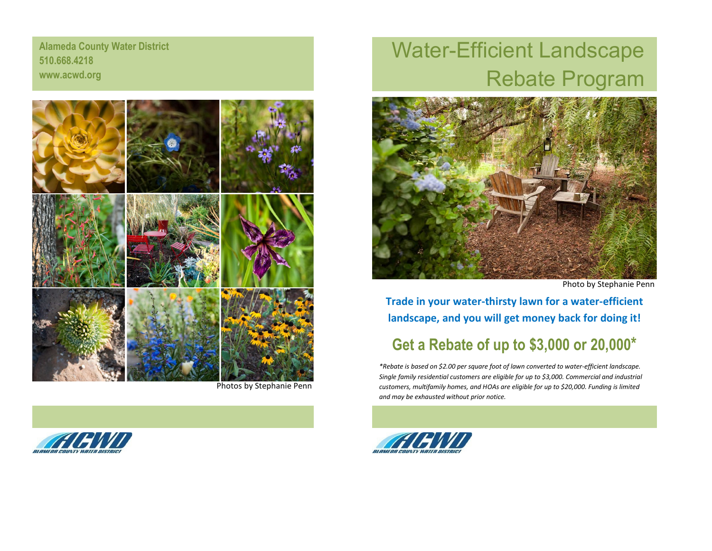**Alameda County Water District 510.668.4218 www.acwd.org**



Photos by Stephanie Penn



## Water-Efficient Landscape Rebate Program



Photo by Stephanie Penn

**Trade in your water-thirsty lawn for a water-efficient landscape, and you will get money back for doing it!**

## **Get a Rebate of up to \$3,000 or 20,000\***

*\*Rebate is based on \$2.00 per square foot of lawn converted to water-efficient landscape. Single family residential customers are eligible for up to \$3,000. Commercial and industrial customers, multifamily homes, and HOAs are eligible for up to \$20,000. Funding is limited and may be exhausted without prior notice.*

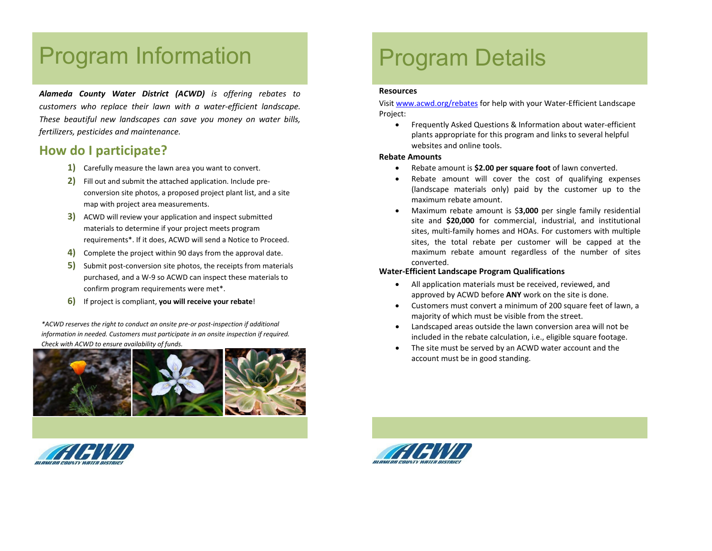## Program Information

*Alameda County Water District (ACWD) is offering rebates to customers who replace their lawn with a water-efficient landscape. These beautiful new landscapes can save you money on water bills, fertilizers, pesticides and maintenance.*

### **How do I participate?**

- **1)** Carefully measure the lawn area you want to convert.
- **2)** Fill out and submit the attached application. Include preconversion site photos, a proposed project plant list, and a site map with project area measurements.
- **3)** ACWD will review your application and inspect submitted materials to determine if your project meets program requirements\*. If it does, ACWD will send a Notice to Proceed.
- **4)** Complete the project within 90 days from the approval date.
- **5)** Submit post-conversion site photos, the receipts from materials purchased, and a W-9 so ACWD can inspect these materials to confirm program requirements were met\*.
- **6)** If project is compliant, **you will receive your rebate**!

*\*ACWD reserves the right to conduct an onsite pre-or post-inspection if additional information in needed. Customers must participate in an onsite inspection if required. Check with ACWD to ensure availability of funds.*





## Program Details

#### **Resources**

Visi[t www.acwd.org/](http://www.acwd.org/)rebates for help with your Water-Efficient Landscape Project:

• Frequently Asked Questions & Information about water-efficient plants appropriate for this program and links to several helpful websites and online tools.

#### **Rebate Amounts**

- Rebate amount is **\$2.00 per square foot** of lawn converted.
- Rebate amount will cover the cost of qualifying expenses (landscape materials only) paid by the customer up to the maximum rebate amount.
- Maximum rebate amount is \$**3,000** per single family residential site and **\$20,000** for commercial, industrial, and institutional sites, multi-family homes and HOAs. For customers with multiple sites, the total rebate per customer will be capped at the maximum rebate amount regardless of the number of sites converted.

#### **Water-Efficient Landscape Program Qualifications**

- All application materials must be received, reviewed, and approved by ACWD before **ANY** work on the site is done.
- Customers must convert a minimum of 200 square feet of lawn, a majority of which must be visible from the street.
- Landscaped areas outside the lawn conversion area will not be included in the rebate calculation, i.e., eligible square footage.
- The site must be served by an ACWD water account and the account must be in good standing.

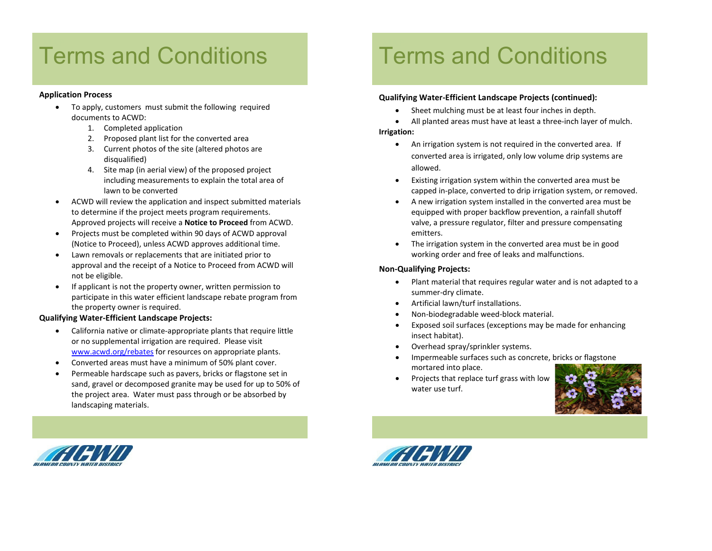# **Terms and Conditions**

#### **Application Process**

- To apply, customers must submit the following required documents to ACWD:
	- 1. Completed application
	- 2. Proposed plant list for the converted area
	- 3. Current photos of the site (altered photos are disqualified)
	- 4. Site map (in aerial view) of the proposed project including measurements to explain the total area of lawn to be converted
- ACWD will review the application and inspect submitted materials to determine if the project meets program requirements. Approved projects will receive a **Notice to Proceed** from ACWD.
- Projects must be completed within 90 days of ACWD approval (Notice to Proceed), unless ACWD approves additional time.
- Lawn removals or replacements that are initiated prior to approval and the receipt of a Notice to Proceed from ACWD will not be eligible.
- If applicant is not the property owner, written permission to participate in this water efficient landscape rebate program from the property owner is required.

#### **Qualifying Water-Efficient Landscape Projects:**

- California native or climate-appropriate plants that require little or no supplemental irrigation are required. Please visit [www.acwd.org/rebates](http://www.acwd.org/rebates) for resources on appropriate plants.
- Converted areas must have a minimum of 50% plant cover.
- Permeable hardscape such as pavers, bricks or flagstone set in sand, gravel or decomposed granite may be used for up to 50% of the project area. Water must pass through or be absorbed by landscaping materials.

# **Terms and Conditions**

#### **Qualifying Water-Efficient Landscape Projects (continued):**

- Sheet mulching must be at least four inches in depth.
- All planted areas must have at least a three-inch layer of mulch. **Irrigation:**
	- An irrigation system is not required in the converted area. If converted area is irrigated, only low volume drip systems are allowed.
	- Existing irrigation system within the converted area must be capped in-place, converted to drip irrigation system, or removed.
	- A new irrigation system installed in the converted area must be equipped with proper backflow prevention, a rainfall shutoff valve, a pressure regulator, filter and pressure compensating emitters.
	- The irrigation system in the converted area must be in good working order and free of leaks and malfunctions.

#### **Non-Qualifying Projects:**

- Plant material that requires regular water and is not adapted to a summer-dry climate.
- Artificial lawn/turf installations.
- Non-biodegradable weed-block material.
- Exposed soil surfaces (exceptions may be made for enhancing insect habitat).
- Overhead spray/sprinkler systems.
- Impermeable surfaces such as concrete, bricks or flagstone mortared into place.
- Projects that replace turf grass with low water use turf.





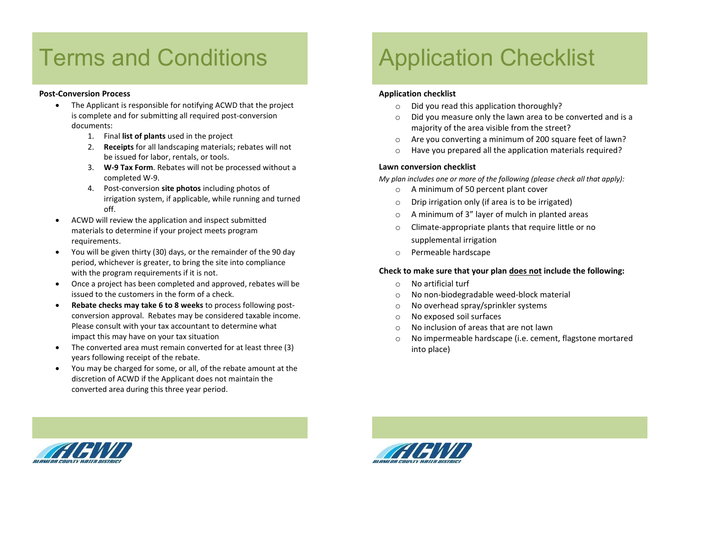## Terms and Conditions MAP

#### **Post-Conversion Process**

- The Applicant is responsible for notifying ACWD that the project is complete and for submitting all required post-conversion documents:
	- 1. Final **list of plants** used in the project
	- 2. **Receipts** for all landscaping materials; rebates will not be issued for labor, rentals, or tools.
	- 3. **W-9 Tax Form**. Rebates will not be processed without a completed W-9.
	- 4. Post-conversion **site photos** including photos of irrigation system, if applicable, while running and turned off.
- ACWD will review the application and inspect submitted materials to determine if your project meets program requirements.
- You will be given thirty (30) days, or the remainder of the 90 day period, whichever is greater, to bring the site into compliance with the program requirements if it is not.
- Once a project has been completed and approved, rebates will be issued to the customers in the form of a check.
- **Rebate checks may take 6 to 8 weeks** to process following postconversion approval. Rebates may be considered taxable income. Please consult with your tax accountant to determine what impact this may have on your tax situation
- The converted area must remain converted for at least three (3) years following receipt of the rebate.
- You may be charged for some, or all, of the rebate amount at the discretion of ACWD if the Applicant does not maintain the converted area during this three year period.

# Application Checklist

#### **Application checklist**

- o Did you read this application thoroughly?
- o Did you measure only the lawn area to be converted and is a majority of the area visible from the street?
- o Are you converting a minimum of 200 square feet of lawn?
- o Have you prepared all the application materials required?

#### **Lawn conversion checklist**

*My plan includes one or more of the following (please check all that apply):*

- o A minimum of 50 percent plant cover
- o Drip irrigation only (if area is to be irrigated)
- o A minimum of 3" layer of mulch in planted areas
- o Climate-appropriate plants that require little or no supplemental irrigation
- o Permeable hardscape

#### **Check to make sure that your plan does not include the following:**

- o No artificial turf
- o No non-biodegradable weed-block material
- o No overhead spray/sprinkler systems
- o No exposed soil surfaces
- o No inclusion of areas that are not lawn
- o No impermeable hardscape (i.e. cement, flagstone mortared into place)